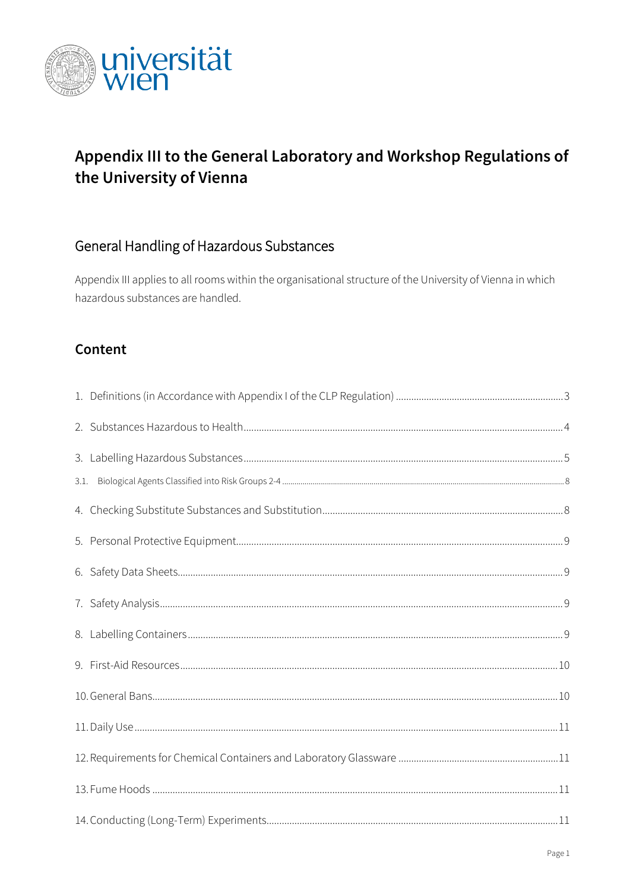

## Appendix III to the General Laboratory and Workshop Regulations of the University of Vienna

#### General Handling of Hazardous Substances

Appendix III applies to all rooms within the organisational structure of the University of Vienna in which hazardous substances are handled.

#### Content

| 3.1. |  |  |  |
|------|--|--|--|
|      |  |  |  |
|      |  |  |  |
|      |  |  |  |
|      |  |  |  |
|      |  |  |  |
|      |  |  |  |
|      |  |  |  |
|      |  |  |  |
|      |  |  |  |
|      |  |  |  |
|      |  |  |  |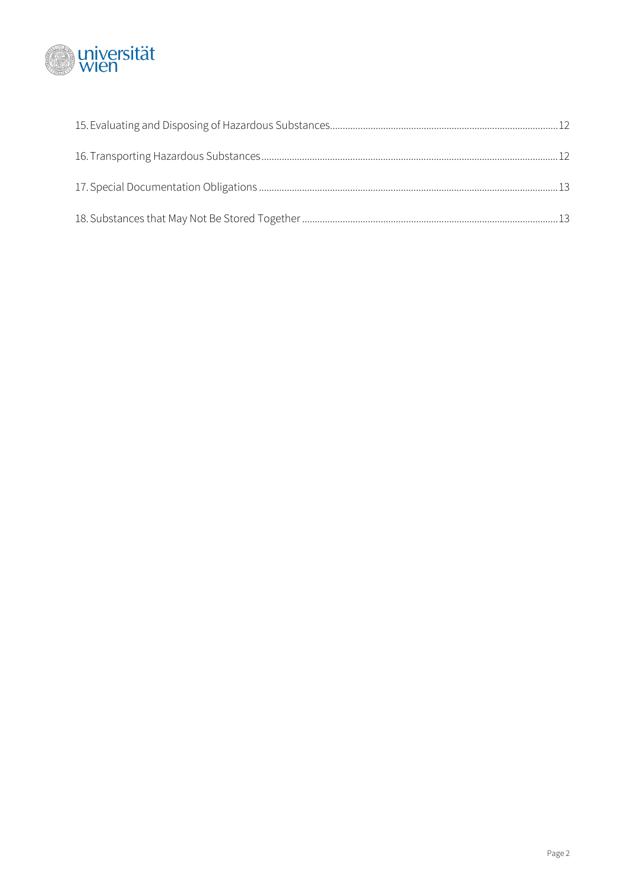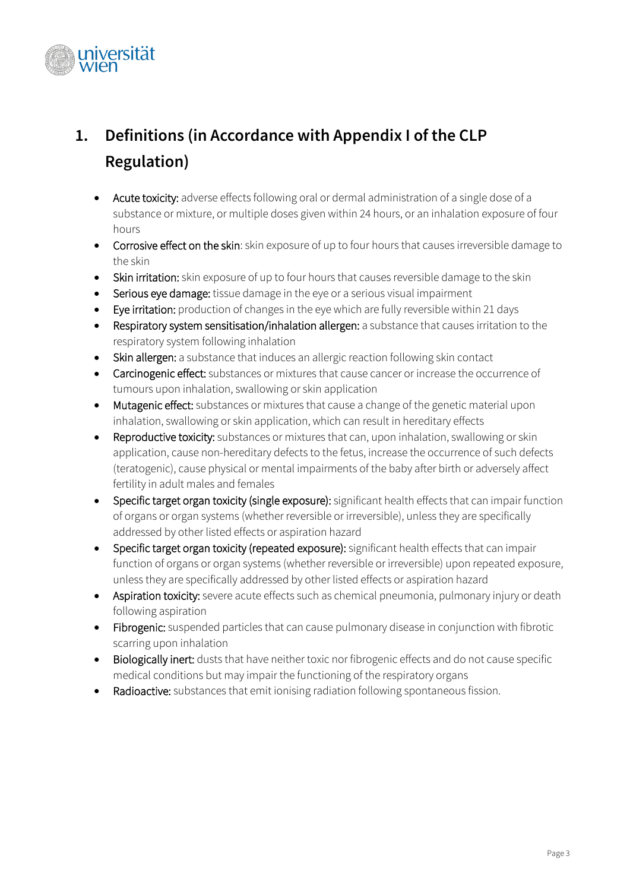

# <span id="page-2-0"></span>**1. Definitions (in Accordance with Appendix I of the CLP Regulation)**

- Acute toxicity: adverse effects following oral or dermal administration of a single dose of a substance or mixture, or multiple doses given within 24 hours, or an inhalation exposure of four hours
- Corrosive effect on the skin: skin exposure of up to four hours that causes irreversible damage to the skin
- Skin irritation: skin exposure of up to four hours that causes reversible damage to the skin
- Serious eye damage: tissue damage in the eye or a serious visual impairment
- Eye irritation: production of changes in the eye which are fully reversible within 21 days
- Respiratory system sensitisation/inhalation allergen: a substance that causes irritation to the respiratory system following inhalation
- Skin allergen: a substance that induces an allergic reaction following skin contact
- Carcinogenic effect: substances or mixtures that cause cancer or increase the occurrence of tumours upon inhalation, swallowing or skin application
- Mutagenic effect: substances or mixtures that cause a change of the genetic material upon inhalation, swallowing or skin application, which can result in hereditary effects
- Reproductive toxicity: substances or mixtures that can, upon inhalation, swallowing or skin application, cause non-hereditary defects to the fetus, increase the occurrence of such defects (teratogenic), cause physical or mental impairments of the baby after birth or adversely affect fertility in adult males and females
- Specific target organ toxicity (single exposure): significant health effects that can impair function of organs or organ systems (whether reversible or irreversible), unless they are specifically addressed by other listed effects or aspiration hazard
- Specific target organ toxicity (repeated exposure): significant health effects that can impair function of organs or organ systems (whether reversible or irreversible) upon repeated exposure, unless they are specifically addressed by other listed effects or aspiration hazard
- Aspiration toxicity: severe acute effects such as chemical pneumonia, pulmonary injury or death following aspiration
- Fibrogenic: suspended particles that can cause pulmonary disease in conjunction with fibrotic scarring upon inhalation
- Biologically inert: dusts that have neither toxic nor fibrogenic effects and do not cause specific medical conditions but may impair the functioning of the respiratory organs
- Radioactive: substances that emit ionising radiation following spontaneous fission.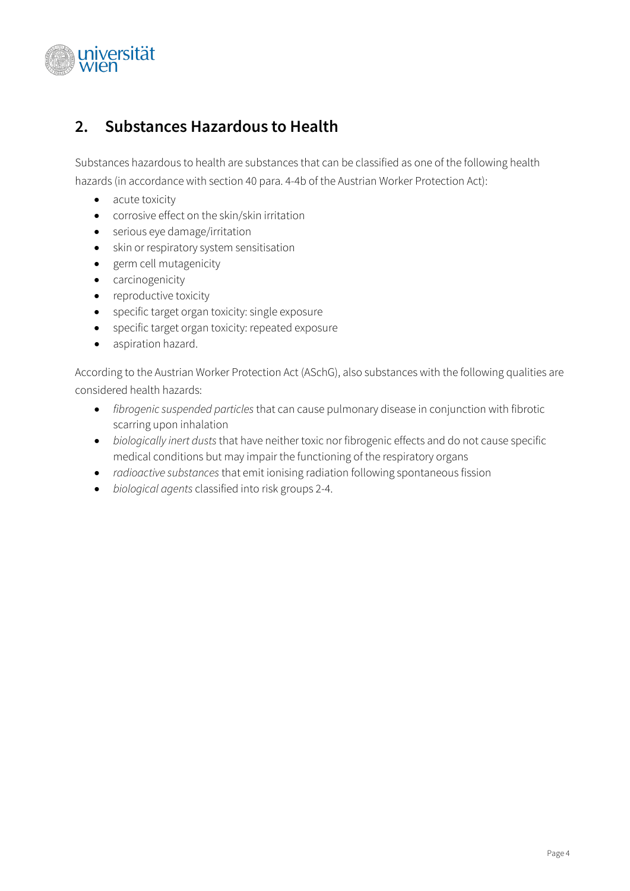

#### <span id="page-3-0"></span>**2. Substances Hazardous to Health**

Substances hazardous to health are substances that can be classified as one of the following health hazards (in accordance with section 40 para. 4-4b of the Austrian Worker Protection Act):

- acute toxicity
- corrosive effect on the skin/skin irritation
- serious eye damage/irritation
- skin or respiratory system sensitisation
- germ cell mutagenicity
- carcinogenicity
- reproductive toxicity
- specific target organ toxicity: single exposure
- specific target organ toxicity: repeated exposure
- aspiration hazard.

According to the Austrian Worker Protection Act (ASchG), also substances with the following qualities are considered health hazards:

- *fibrogenic suspended particles* that can cause pulmonary disease in conjunction with fibrotic scarring upon inhalation
- *biologically inert dusts* that have neither toxic nor fibrogenic effects and do not cause specific medical conditions but may impair the functioning of the respiratory organs
- *radioactive substances* that emit ionising radiation following spontaneous fission
- *biological agents* classified into risk groups 2-4.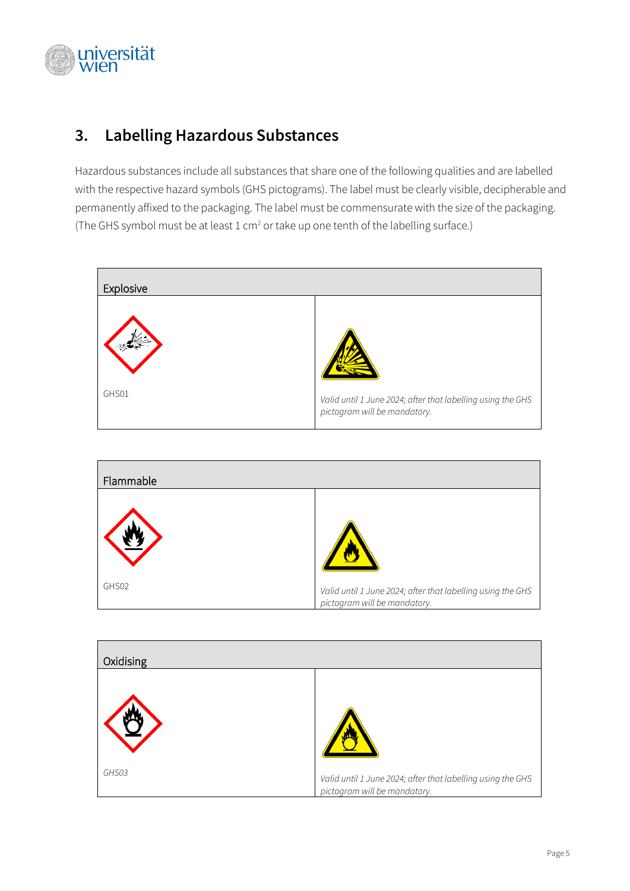

## <span id="page-4-0"></span>**3. Labelling Hazardous Substances**

Hazardous substances include all substances that share one of the following qualities and are labelled with the respective hazard symbols (GHS pictograms). The label must be clearly visible, decipherable and permanently affixed to the packaging. The label must be commensurate with the size of the packaging. (The GHS symbol must be at least 1 cm<sup>2</sup> or take up one tenth of the labelling surface.)





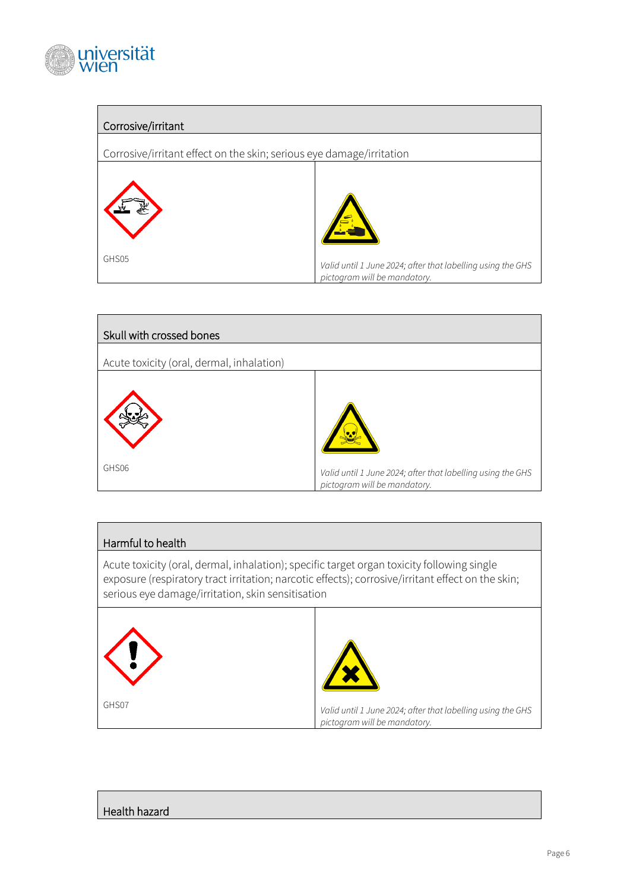

#### Corrosive/irritant

Corrosive/irritant effect on the skin; serious eye damage/irritation





#### Harmful to health

Acute toxicity (oral, dermal, inhalation); specific target organ toxicity following single exposure (respiratory tract irritation; narcotic effects); corrosive/irritant effect on the skin; serious eye damage/irritation, skin sensitisation



#### Health hazard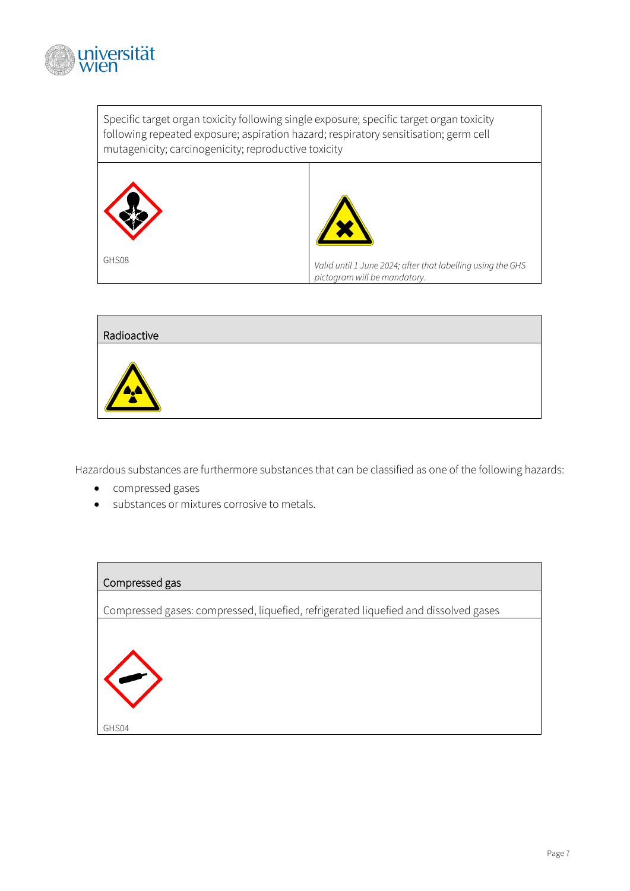

Specific target organ toxicity following single exposure; specific target organ toxicity following repeated exposure; aspiration hazard; respiratory sensitisation; germ cell mutagenicity; carcinogenicity; reproductive toxicity





Hazardous substances are furthermore substances that can be classified as one of the following hazards:

- compressed gases
- substances or mixtures corrosive to metals.

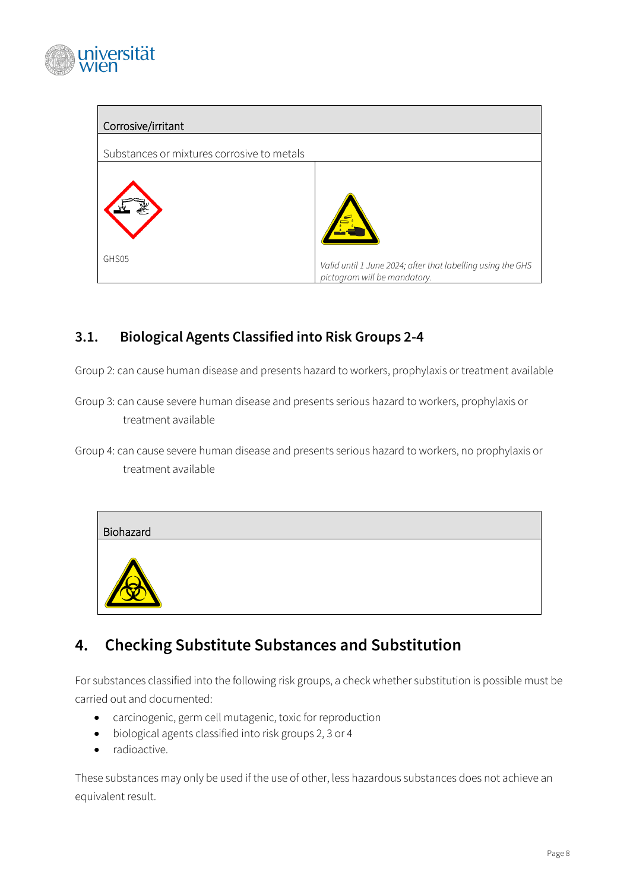

| Corrosive/irritant                         |                                                                                             |  |  |
|--------------------------------------------|---------------------------------------------------------------------------------------------|--|--|
| Substances or mixtures corrosive to metals |                                                                                             |  |  |
|                                            |                                                                                             |  |  |
| GHS05                                      | Valid until 1 June 2024; after that labelling using the GHS<br>pictogram will be mandatory. |  |  |

#### <span id="page-7-0"></span>**3.1. Biological Agents Classified into Risk Groups 2-4**

Group 2: can cause human disease and presents hazard to workers, prophylaxis or treatment available

- Group 3: can cause severe human disease and presents serious hazard to workers, prophylaxis or treatment available
- Group 4: can cause severe human disease and presents serious hazard to workers, no prophylaxis or treatment available



## <span id="page-7-1"></span>**4. Checking Substitute Substances and Substitution**

For substances classified into the following risk groups, a check whether substitution is possible must be carried out and documented:

- carcinogenic, germ cell mutagenic, toxic for reproduction
- biological agents classified into risk groups 2, 3 or 4
- radioactive.

These substances may only be used if the use of other, less hazardous substances does not achieve an equivalent result.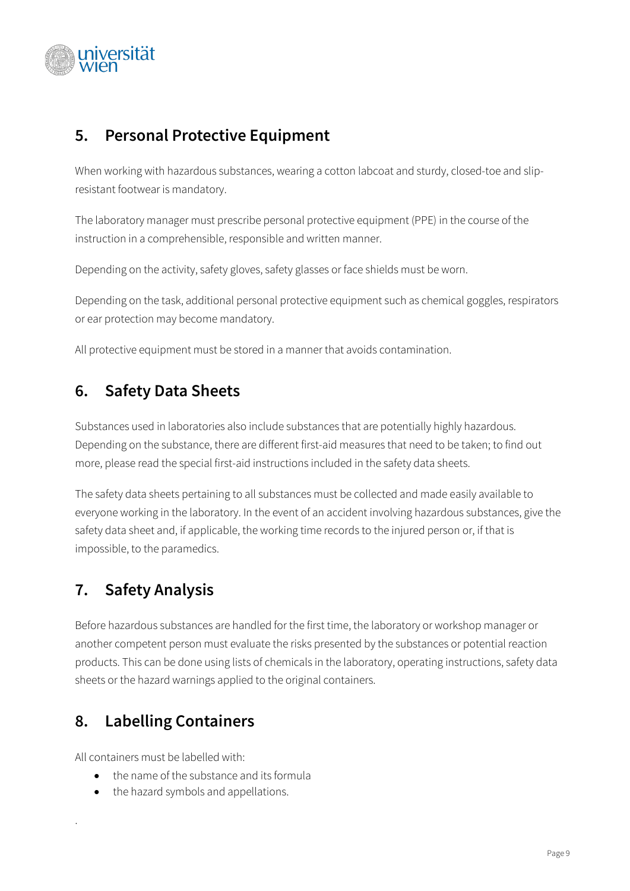

### <span id="page-8-0"></span>**5. Personal Protective Equipment**

When working with hazardous substances, wearing a cotton labcoat and sturdy, closed-toe and slipresistant footwear is mandatory.

The laboratory manager must prescribe personal protective equipment (PPE) in the course of the instruction in a comprehensible, responsible and written manner.

Depending on the activity, safety gloves, safety glasses or face shields must be worn.

Depending on the task, additional personal protective equipment such as chemical goggles, respirators or ear protection may become mandatory.

<span id="page-8-1"></span>All protective equipment must be stored in a manner that avoids contamination.

## **6. Safety Data Sheets**

Substances used in laboratories also include substances that are potentially highly hazardous. Depending on the substance, there are different first-aid measures that need to be taken; to find out more, please read the special first-aid instructions included in the safety data sheets.

The safety data sheets pertaining to all substances must be collected and made easily available to everyone working in the laboratory. In the event of an accident involving hazardous substances, give the safety data sheet and, if applicable, the working time records to the injured person or, if that is impossible, to the paramedics.

## <span id="page-8-2"></span>**7. Safety Analysis**

Before hazardous substances are handled for the first time, the laboratory or workshop manager or another competent person must evaluate the risks presented by the substances or potential reaction products. This can be done using lists of chemicals in the laboratory, operating instructions, safety data sheets or the hazard warnings applied to the original containers.

## <span id="page-8-3"></span>**8. Labelling Containers**

All containers must be labelled with:

.

- the name of the substance and its formula
- the hazard symbols and appellations.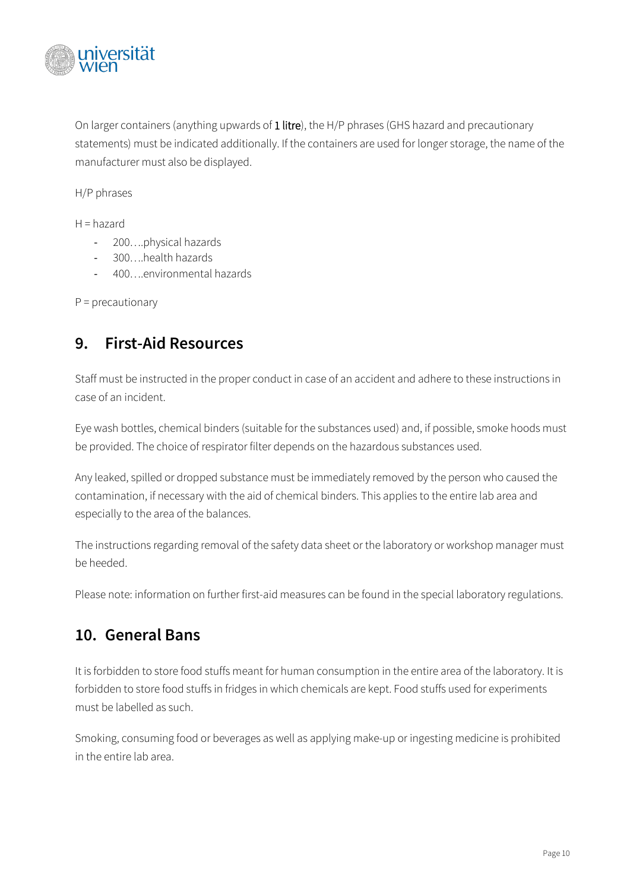

On larger containers (anything upwards of 1 litre), the H/P phrases (GHS hazard and precautionary statements) must be indicated additionally. If the containers are used for longer storage, the name of the manufacturer must also be displayed.

H/P phrases

 $H =$ hazard

- 200….physical hazards
- 300….health hazards
- 400….environmental hazards

<span id="page-9-0"></span> $P =$  precautionary

#### **9. First-Aid Resources**

Staff must be instructed in the proper conduct in case of an accident and adhere to these instructions in case of an incident.

Eye wash bottles, chemical binders (suitable for the substances used) and, if possible, smoke hoods must be provided. The choice of respirator filter depends on the hazardous substances used.

Any leaked, spilled or dropped substance must be immediately removed by the person who caused the contamination, if necessary with the aid of chemical binders. This applies to the entire lab area and especially to the area of the balances.

The instructions regarding removal of the safety data sheet or the laboratory or workshop manager must be heeded.

<span id="page-9-1"></span>Please note: information on further first-aid measures can be found in the special laboratory regulations.

#### **10. General Bans**

It is forbidden to store food stuffs meant for human consumption in the entire area of the laboratory. It is forbidden to store food stuffs in fridges in which chemicals are kept. Food stuffs used for experiments must be labelled as such.

Smoking, consuming food or beverages as well as applying make-up or ingesting medicine is prohibited in the entire lab area.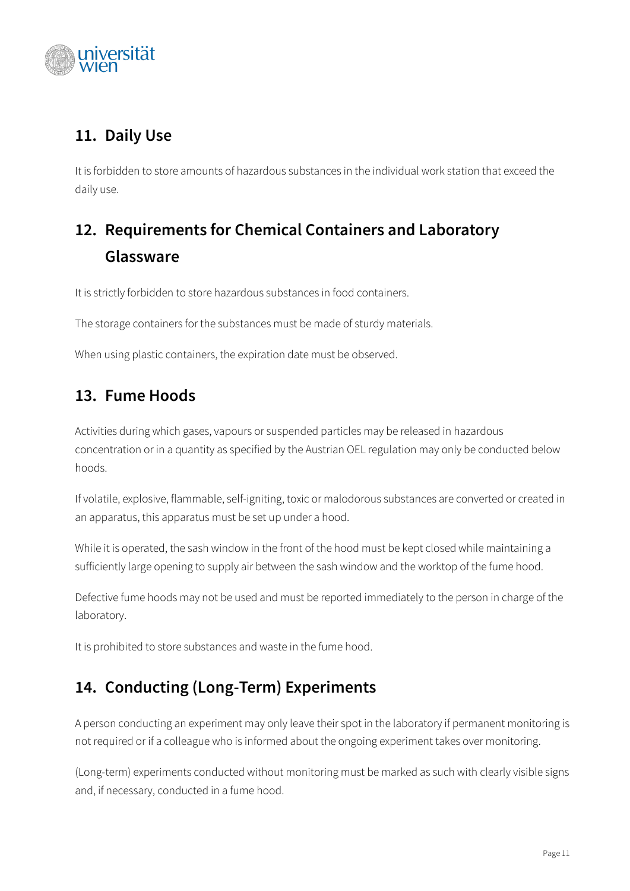

## <span id="page-10-0"></span>**11. Daily Use**

It is forbidden to store amounts of hazardous substances in the individual work station that exceed the daily use.

# <span id="page-10-1"></span>**12. Requirements for Chemical Containers and Laboratory Glassware**

It is strictly forbidden to store hazardous substances in food containers.

The storage containers for the substances must be made of sturdy materials.

<span id="page-10-2"></span>When using plastic containers, the expiration date must be observed.

## **13. Fume Hoods**

Activities during which gases, vapours or suspended particles may be released in hazardous concentration or in a quantity as specified by the Austrian OEL regulation may only be conducted below hoods.

If volatile, explosive, flammable, self-igniting, toxic or malodorous substances are converted or created in an apparatus, this apparatus must be set up under a hood.

While it is operated, the sash window in the front of the hood must be kept closed while maintaining a sufficiently large opening to supply air between the sash window and the worktop of the fume hood.

Defective fume hoods may not be used and must be reported immediately to the person in charge of the laboratory.

<span id="page-10-3"></span>It is prohibited to store substances and waste in the fume hood.

## **14. Conducting (Long-Term) Experiments**

A person conducting an experiment may only leave their spot in the laboratory if permanent monitoring is not required or if a colleague who is informed about the ongoing experiment takes over monitoring.

(Long-term) experiments conducted without monitoring must be marked as such with clearly visible signs and, if necessary, conducted in a fume hood.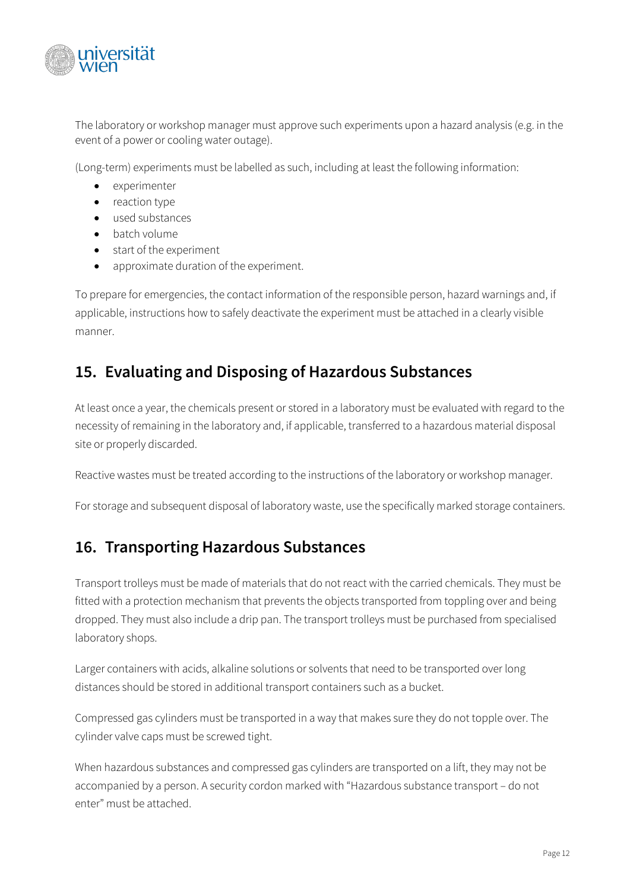

The laboratory or workshop manager must approve such experiments upon a hazard analysis (e.g. in the event of a power or cooling water outage).

(Long-term) experiments must be labelled as such, including at least the following information:

- experimenter
- reaction type
- used substances
- batch volume
- start of the experiment
- approximate duration of the experiment.

To prepare for emergencies, the contact information of the responsible person, hazard warnings and, if applicable, instructions how to safely deactivate the experiment must be attached in a clearly visible manner.

### <span id="page-11-0"></span>**15. Evaluating and Disposing of Hazardous Substances**

At least once a year, the chemicals present or stored in a laboratory must be evaluated with regard to the necessity of remaining in the laboratory and, if applicable, transferred to a hazardous material disposal site or properly discarded.

Reactive wastes must be treated according to the instructions of the laboratory or workshop manager.

<span id="page-11-1"></span>For storage and subsequent disposal of laboratory waste, use the specifically marked storage containers.

#### **16. Transporting Hazardous Substances**

Transport trolleys must be made of materials that do not react with the carried chemicals. They must be fitted with a protection mechanism that prevents the objects transported from toppling over and being dropped. They must also include a drip pan. The transport trolleys must be purchased from specialised laboratory shops.

Larger containers with acids, alkaline solutions or solvents that need to be transported over long distances should be stored in additional transport containers such as a bucket.

Compressed gas cylinders must be transported in a way that makes sure they do not topple over. The cylinder valve caps must be screwed tight.

When hazardous substances and compressed gas cylinders are transported on a lift, they may not be accompanied by a person. A security cordon marked with "Hazardous substance transport – do not enter" must be attached.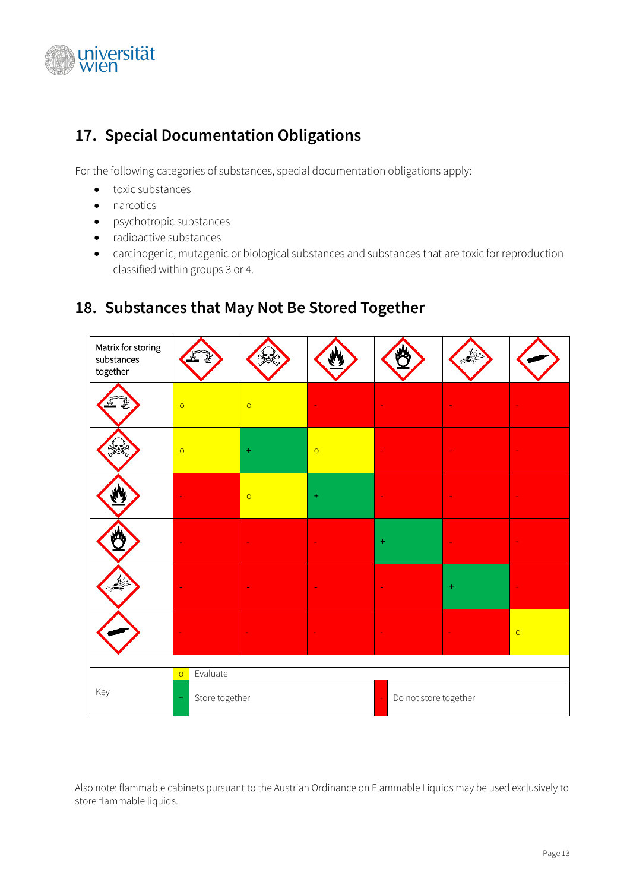

## <span id="page-12-0"></span>**17. Special Documentation Obligations**

For the following categories of substances, special documentation obligations apply:

- toxic substances
- narcotics
- psychotropic substances
- radioactive substances
- carcinogenic, mutagenic or biological substances and substances that are toxic for reproduction classified within groups 3 or 4.



#### <span id="page-12-1"></span>**18. Substances that May Not Be Stored Together**

Also note: flammable cabinets pursuant to the Austrian Ordinance on Flammable Liquids may be used exclusively to store flammable liquids.